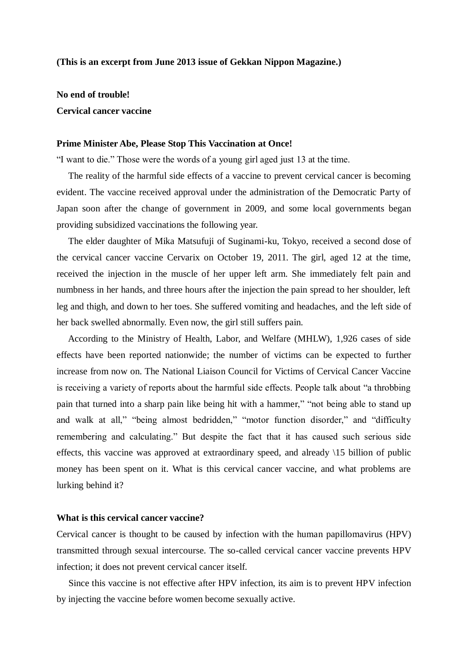## **(This is an excerpt from June 2013 issue of Gekkan Nippon Magazine.)**

**No end of trouble! Cervical cancer vaccine**

#### **Prime Minister Abe, Please Stop This Vaccination at Once!**

"I want to die." Those were the words of a young girl aged just 13 at the time.

 The reality of the harmful side effects of a vaccine to prevent cervical cancer is becoming evident. The vaccine received approval under the administration of the Democratic Party of Japan soon after the change of government in 2009, and some local governments began providing subsidized vaccinations the following year.

 The elder daughter of Mika Matsufuji of Suginami-ku, Tokyo, received a second dose of the cervical cancer vaccine Cervarix on October 19, 2011. The girl, aged 12 at the time, received the injection in the muscle of her upper left arm. She immediately felt pain and numbness in her hands, and three hours after the injection the pain spread to her shoulder, left leg and thigh, and down to her toes. She suffered vomiting and headaches, and the left side of her back swelled abnormally. Even now, the girl still suffers pain.

 According to the Ministry of Health, Labor, and Welfare (MHLW), 1,926 cases of side effects have been reported nationwide; the number of victims can be expected to further increase from now on. The National Liaison Council for Victims of Cervical Cancer Vaccine is receiving a variety of reports about the harmful side effects. People talk about "a throbbing pain that turned into a sharp pain like being hit with a hammer," "not being able to stand up and walk at all," "being almost bedridden," "motor function disorder," and "difficulty remembering and calculating." But despite the fact that it has caused such serious side effects, this vaccine was approved at extraordinary speed, and already \15 billion of public money has been spent on it. What is this cervical cancer vaccine, and what problems are lurking behind it?

# **What is this cervical cancer vaccine?**

Cervical cancer is thought to be caused by infection with the human papillomavirus (HPV) transmitted through sexual intercourse. The so-called cervical cancer vaccine prevents HPV infection; it does not prevent cervical cancer itself.

 Since this vaccine is not effective after HPV infection, its aim is to prevent HPV infection by injecting the vaccine before women become sexually active.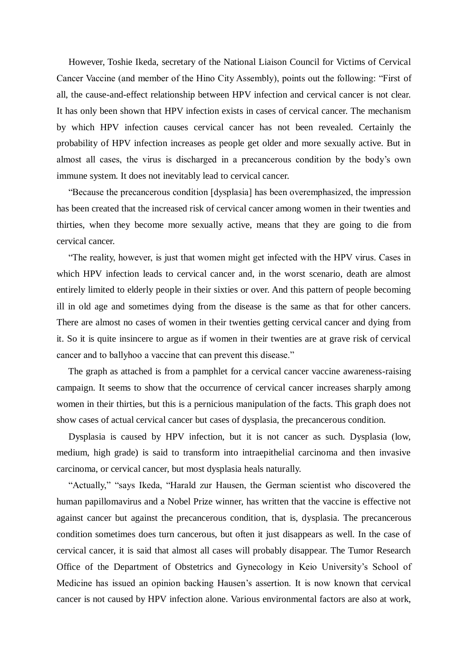However, Toshie Ikeda, secretary of the National Liaison Council for Victims of Cervical Cancer Vaccine (and member of the Hino City Assembly), points out the following: "First of all, the cause-and-effect relationship between HPV infection and cervical cancer is not clear. It has only been shown that HPV infection exists in cases of cervical cancer. The mechanism by which HPV infection causes cervical cancer has not been revealed. Certainly the probability of HPV infection increases as people get older and more sexually active. But in almost all cases, the virus is discharged in a precancerous condition by the body's own immune system. It does not inevitably lead to cervical cancer.

 "Because the precancerous condition [dysplasia] has been overemphasized, the impression has been created that the increased risk of cervical cancer among women in their twenties and thirties, when they become more sexually active, means that they are going to die from cervical cancer.

 "The reality, however, is just that women might get infected with the HPV virus. Cases in which HPV infection leads to cervical cancer and, in the worst scenario, death are almost entirely limited to elderly people in their sixties or over. And this pattern of people becoming ill in old age and sometimes dying from the disease is the same as that for other cancers. There are almost no cases of women in their twenties getting cervical cancer and dying from it. So it is quite insincere to argue as if women in their twenties are at grave risk of cervical cancer and to ballyhoo a vaccine that can prevent this disease."

 The graph as attached is from a pamphlet for a cervical cancer vaccine awareness-raising campaign. It seems to show that the occurrence of cervical cancer increases sharply among women in their thirties, but this is a pernicious manipulation of the facts. This graph does not show cases of actual cervical cancer but cases of dysplasia, the precancerous condition.

 Dysplasia is caused by HPV infection, but it is not cancer as such. Dysplasia (low, medium, high grade) is said to transform into intraepithelial carcinoma and then invasive carcinoma, or cervical cancer, but most dysplasia heals naturally.

 "Actually," "says Ikeda, "Harald zur Hausen, the German scientist who discovered the human papillomavirus and a Nobel Prize winner, has written that the vaccine is effective not against cancer but against the precancerous condition, that is, dysplasia. The precancerous condition sometimes does turn cancerous, but often it just disappears as well. In the case of cervical cancer, it is said that almost all cases will probably disappear. The Tumor Research Office of the Department of Obstetrics and Gynecology in Keio University's School of Medicine has issued an opinion backing Hausen's assertion. It is now known that cervical cancer is not caused by HPV infection alone. Various environmental factors are also at work,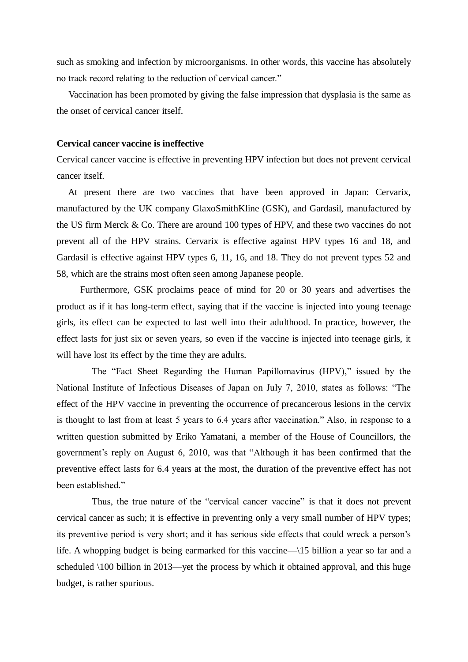such as smoking and infection by microorganisms. In other words, this vaccine has absolutely no track record relating to the reduction of cervical cancer."

 Vaccination has been promoted by giving the false impression that dysplasia is the same as the onset of cervical cancer itself.

## **Cervical cancer vaccine is ineffective**

Cervical cancer vaccine is effective in preventing HPV infection but does not prevent cervical cancer itself.

 At present there are two vaccines that have been approved in Japan: Cervarix, manufactured by the UK company GlaxoSmithKline (GSK), and Gardasil, manufactured by the US firm Merck & Co. There are around 100 types of HPV, and these two vaccines do not prevent all of the HPV strains. Cervarix is effective against HPV types 16 and 18, and Gardasil is effective against HPV types 6, 11, 16, and 18. They do not prevent types 52 and 58, which are the strains most often seen among Japanese people.

Furthermore, GSK proclaims peace of mind for 20 or 30 years and advertises the product as if it has long-term effect, saying that if the vaccine is injected into young teenage girls, its effect can be expected to last well into their adulthood. In practice, however, the effect lasts for just six or seven years, so even if the vaccine is injected into teenage girls, it will have lost its effect by the time they are adults.

 The "Fact Sheet Regarding the Human Papillomavirus (HPV)," issued by the National Institute of Infectious Diseases of Japan on July 7, 2010, states as follows: "The effect of the HPV vaccine in preventing the occurrence of precancerous lesions in the cervix is thought to last from at least 5 years to 6.4 years after vaccination." Also, in response to a written question submitted by Eriko Yamatani, a member of the House of Councillors, the government's reply on August 6, 2010, was that "Although it has been confirmed that the preventive effect lasts for 6.4 years at the most, the duration of the preventive effect has not been established."

 Thus, the true nature of the "cervical cancer vaccine" is that it does not prevent cervical cancer as such; it is effective in preventing only a very small number of HPV types; its preventive period is very short; and it has serious side effects that could wreck a person's life. A whopping budget is being earmarked for this vaccine—\15 billion a year so far and a scheduled \100 billion in 2013—yet the process by which it obtained approval, and this huge budget, is rather spurious.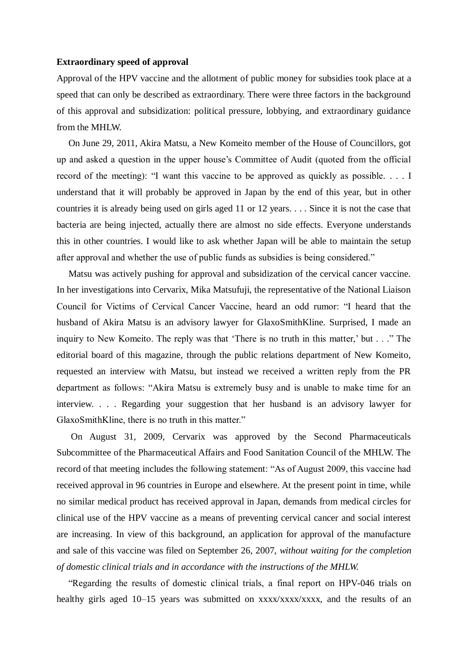## **Extraordinary speed of approval**

Approval of the HPV vaccine and the allotment of public money for subsidies took place at a speed that can only be described as extraordinary. There were three factors in the background of this approval and subsidization: political pressure, lobbying, and extraordinary guidance from the MHLW.

 On June 29, 2011, Akira Matsu, a New Komeito member of the House of Councillors, got up and asked a question in the upper house's Committee of Audit (quoted from the official record of the meeting): "I want this vaccine to be approved as quickly as possible. . . . I understand that it will probably be approved in Japan by the end of this year, but in other countries it is already being used on girls aged 11 or 12 years. . . . Since it is not the case that bacteria are being injected, actually there are almost no side effects. Everyone understands this in other countries. I would like to ask whether Japan will be able to maintain the setup after approval and whether the use of public funds as subsidies is being considered."

 Matsu was actively pushing for approval and subsidization of the cervical cancer vaccine. In her investigations into Cervarix, Mika Matsufuji, the representative of the National Liaison Council for Victims of Cervical Cancer Vaccine, heard an odd rumor: "I heard that the husband of Akira Matsu is an advisory lawyer for GlaxoSmithKline. Surprised, I made an inquiry to New Komeito. The reply was that 'There is no truth in this matter,' but . . ." The editorial board of this magazine, through the public relations department of New Komeito, requested an interview with Matsu, but instead we received a written reply from the PR department as follows: "Akira Matsu is extremely busy and is unable to make time for an interview. . . . Regarding your suggestion that her husband is an advisory lawyer for GlaxoSmithKline, there is no truth in this matter."

 On August 31, 2009, Cervarix was approved by the Second Pharmaceuticals Subcommittee of the Pharmaceutical Affairs and Food Sanitation Council of the MHLW. The record of that meeting includes the following statement: "As of August 2009, this vaccine had received approval in 96 countries in Europe and elsewhere. At the present point in time, while no similar medical product has received approval in Japan, demands from medical circles for clinical use of the HPV vaccine as a means of preventing cervical cancer and social interest are increasing. In view of this background, an application for approval of the manufacture and sale of this vaccine was filed on September 26, 2007, *without waiting for the completion of domestic clinical trials and in accordance with the instructions of the MHLW.* 

 "Regarding the results of domestic clinical trials, a final report on HPV-046 trials on healthy girls aged 10–15 years was submitted on xxxx/xxxx/xxxx, and the results of an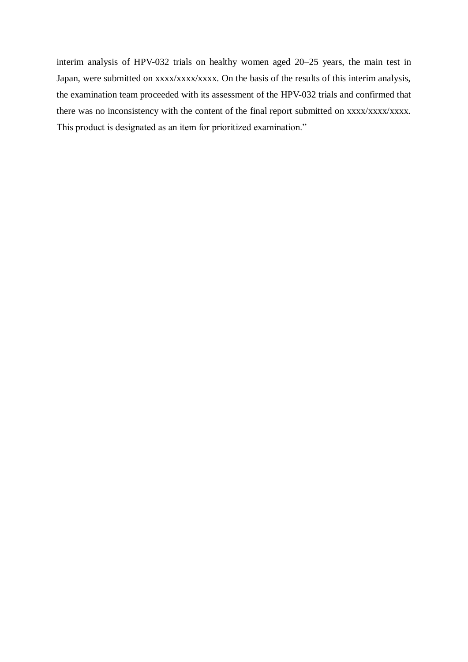interim analysis of HPV-032 trials on healthy women aged 20–25 years, the main test in Japan, were submitted on xxxx/xxxx/xxxx. On the basis of the results of this interim analysis, the examination team proceeded with its assessment of the HPV-032 trials and confirmed that there was no inconsistency with the content of the final report submitted on xxxx/xxxx/xxxx. This product is designated as an item for prioritized examination."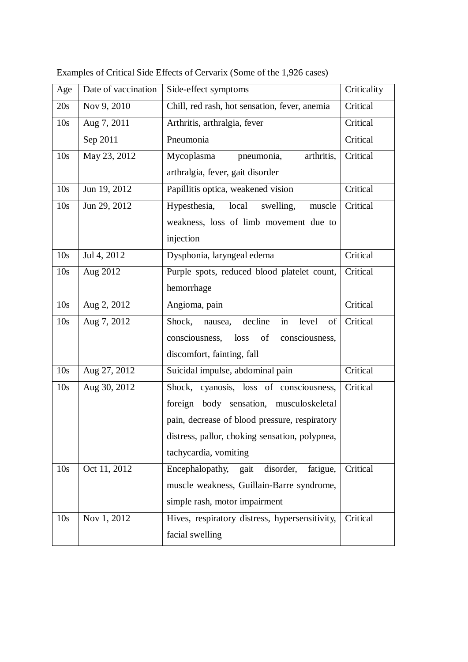| Age             | Date of vaccination | Side-effect symptoms                              | Criticality |
|-----------------|---------------------|---------------------------------------------------|-------------|
| 20s             | Nov 9, 2010         | Chill, red rash, hot sensation, fever, anemia     | Critical    |
| 10 <sub>s</sub> | Aug 7, 2011         | Arthritis, arthralgia, fever                      | Critical    |
|                 | Sep 2011            | Pneumonia                                         | Critical    |
| 10 <sub>s</sub> | May 23, 2012        | Mycoplasma<br>pneumonia,<br>arthritis,            | Critical    |
|                 |                     | arthralgia, fever, gait disorder                  |             |
| 10 <sub>s</sub> | Jun 19, 2012        | Papillitis optica, weakened vision                | Critical    |
| 10 <sub>s</sub> | Jun 29, 2012        | Hypesthesia,<br>local<br>swelling,<br>muscle      | Critical    |
|                 |                     | weakness, loss of limb movement due to            |             |
|                 |                     | injection                                         |             |
| 10 <sub>s</sub> | Jul 4, 2012         | Dysphonia, laryngeal edema                        | Critical    |
| 10 <sub>s</sub> | Aug 2012            | Purple spots, reduced blood platelet count,       | Critical    |
|                 |                     | hemorrhage                                        |             |
| 10 <sub>s</sub> | Aug 2, 2012         | Angioma, pain                                     | Critical    |
| 10 <sub>s</sub> | Aug 7, 2012         | decline<br>in<br>Shock,<br>level<br>of<br>nausea, | Critical    |
|                 |                     | consciousness,<br>consciousness,<br>loss<br>of    |             |
|                 |                     | discomfort, fainting, fall                        |             |
| 10 <sub>s</sub> | Aug 27, 2012        | Suicidal impulse, abdominal pain                  | Critical    |
| 10 <sub>s</sub> | Aug 30, 2012        | Shock, cyanosis, loss of consciousness,           | Critical    |
|                 |                     | foreign body sensation, musculoskeletal           |             |
|                 |                     | pain, decrease of blood pressure, respiratory     |             |
|                 |                     | distress, pallor, choking sensation, polypnea,    |             |
|                 |                     | tachycardia, vomiting                             |             |
| 10 <sub>s</sub> | Oct 11, 2012        | disorder,<br>Encephalopathy,<br>gait<br>fatigue,  | Critical    |
|                 |                     | muscle weakness, Guillain-Barre syndrome,         |             |
|                 |                     | simple rash, motor impairment                     |             |
| 10 <sub>s</sub> | Nov 1, 2012         | Hives, respiratory distress, hypersensitivity,    | Critical    |
|                 |                     | facial swelling                                   |             |

Examples of Critical Side Effects of Cervarix (Some of the 1,926 cases)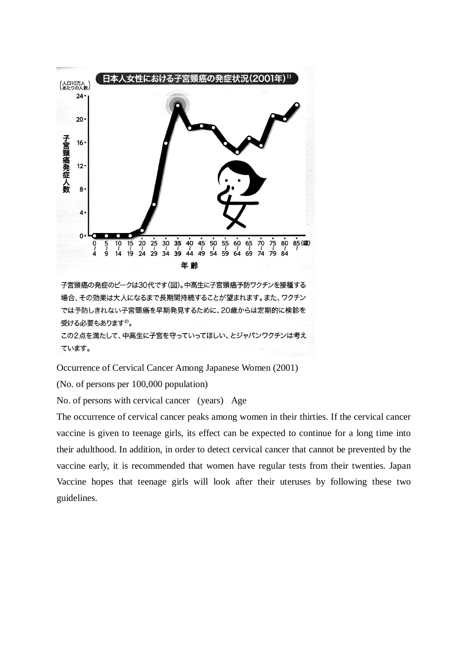

子宮頸癌の発症のピークは30代です(図)。中高生に子宮頸癌予防ワクチンを接種する 場合、その効果は大人になるまで長期間持続することが望まれます。また、ワクチン では予防しきれない子宮頸癌を早期発見するために、20歳からは定期的に検診を 受ける必要もあります<sup>2)</sup>。

この2点を満たして、中高生に子宮を守っていってほしい、とジャパンワクチンは考え ています。

Occurrence of Cervical Cancer Among Japanese Women (2001)

(No. of persons per 100,000 population)

No. of persons with cervical cancer (years) Age

The occurrence of cervical cancer peaks among women in their thirties. If the cervical cancer vaccine is given to teenage girls, its effect can be expected to continue for a long time into their adulthood. In addition, in order to detect cervical cancer that cannot be prevented by the vaccine early, it is recommended that women have regular tests from their twenties. Japan Vaccine hopes that teenage girls will look after their uteruses by following these two guidelines.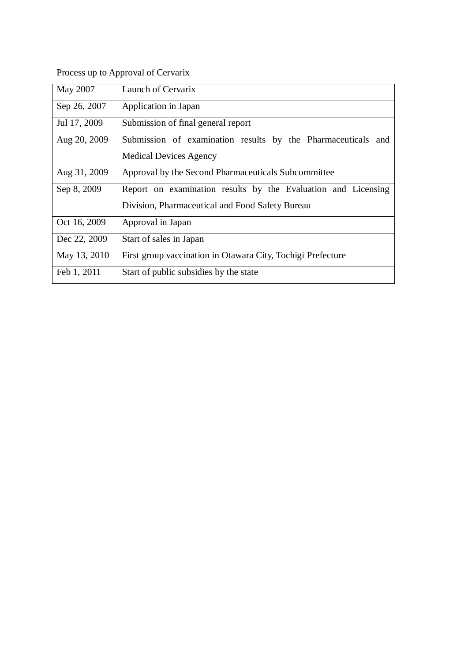Process up to Approval of Cervarix

| May 2007     | Launch of Cervarix                                            |
|--------------|---------------------------------------------------------------|
| Sep 26, 2007 | Application in Japan                                          |
| Jul 17, 2009 | Submission of final general report                            |
| Aug 20, 2009 | Submission of examination results by the Pharmaceuticals and  |
|              | <b>Medical Devices Agency</b>                                 |
| Aug 31, 2009 | Approval by the Second Pharmaceuticals Subcommittee           |
| Sep 8, 2009  | Report on examination results by the Evaluation and Licensing |
|              | Division, Pharmaceutical and Food Safety Bureau               |
| Oct 16, 2009 | Approval in Japan                                             |
| Dec 22, 2009 | Start of sales in Japan                                       |
| May 13, 2010 | First group vaccination in Otawara City, Tochigi Prefecture   |
| Feb 1, 2011  | Start of public subsidies by the state                        |